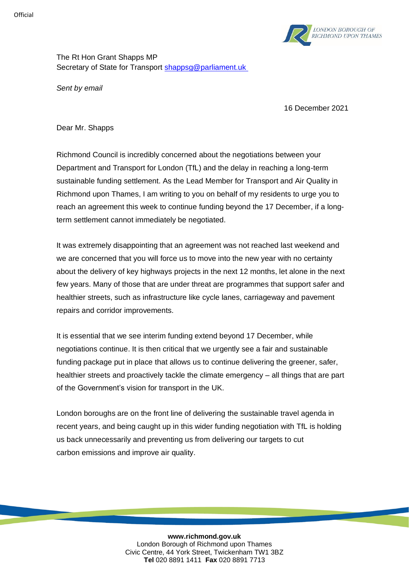

The Rt Hon Grant Shapps MP Secretary of State for Transport [shappsg@parliament.uk](mailto:shappsg@parliament.uk)

*Sent by email*

16 December 2021

Dear Mr. Shapps

Richmond Council is incredibly concerned about the negotiations between your Department and Transport for London (TfL) and the delay in reaching a long-term sustainable funding settlement. As the Lead Member for Transport and Air Quality in Richmond upon Thames, I am writing to you on behalf of my residents to urge you to reach an agreement this week to continue funding beyond the 17 December, if a longterm settlement cannot immediately be negotiated.

It was extremely disappointing that an agreement was not reached last weekend and we are concerned that you will force us to move into the new year with no certainty about the delivery of key highways projects in the next 12 months, let alone in the next few years. Many of those that are under threat are programmes that support safer and healthier streets, such as infrastructure like cycle lanes, carriageway and pavement repairs and corridor improvements.

It is essential that we see interim funding extend beyond 17 December, while negotiations continue. It is then critical that we urgently see a fair and sustainable funding package put in place that allows us to continue delivering the greener, safer, healthier streets and proactively tackle the climate emergency – all things that are part of the Government's vision for transport in the UK.

London boroughs are on the front line of delivering the sustainable travel agenda in recent years, and being caught up in this wider funding negotiation with TfL is holding us back unnecessarily and preventing us from delivering our targets to cut carbon emissions and improve air quality.

> **www.richmond.gov.uk** London Borough of Richmond upon Thames Civic Centre, 44 York Street, Twickenham TW1 3BZ **Tel** 020 8891 1411 **Fax** 020 8891 7713